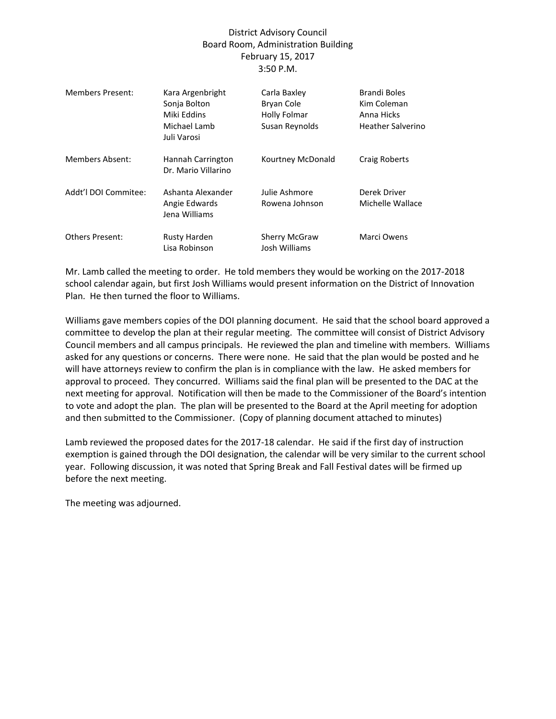## District Advisory Council Board Room, Administration Building February 15, 2017 3:50 P.M.

| Members Present:       | Kara Argenbright<br>Sonja Bolton<br>Miki Eddins<br>Michael Lamb<br>Juli Varosi | Carla Baxley<br>Bryan Cole<br>Holly Folmar<br>Susan Reynolds | Brandi Boles<br>Kim Coleman<br>Anna Hicks<br><b>Heather Salverino</b> |
|------------------------|--------------------------------------------------------------------------------|--------------------------------------------------------------|-----------------------------------------------------------------------|
| <b>Members Absent:</b> | Hannah Carrington<br>Dr. Mario Villarino                                       | Kourtney McDonald                                            | Craig Roberts                                                         |
| Addt'l DOI Commitee:   | Ashanta Alexander<br>Angie Edwards<br>Jena Williams                            | Julie Ashmore<br>Rowena Johnson                              | Derek Driver<br>Michelle Wallace                                      |
| <b>Others Present:</b> | Rusty Harden<br>Lisa Robinson                                                  | <b>Sherry McGraw</b><br>Josh Williams                        | Marci Owens                                                           |

Mr. Lamb called the meeting to order. He told members they would be working on the 2017-2018 school calendar again, but first Josh Williams would present information on the District of Innovation Plan. He then turned the floor to Williams.

Williams gave members copies of the DOI planning document. He said that the school board approved a committee to develop the plan at their regular meeting. The committee will consist of District Advisory Council members and all campus principals. He reviewed the plan and timeline with members. Williams asked for any questions or concerns. There were none. He said that the plan would be posted and he will have attorneys review to confirm the plan is in compliance with the law. He asked members for approval to proceed. They concurred. Williams said the final plan will be presented to the DAC at the next meeting for approval. Notification will then be made to the Commissioner of the Board's intention to vote and adopt the plan. The plan will be presented to the Board at the April meeting for adoption and then submitted to the Commissioner. (Copy of planning document attached to minutes)

Lamb reviewed the proposed dates for the 2017-18 calendar. He said if the first day of instruction exemption is gained through the DOI designation, the calendar will be very similar to the current school year. Following discussion, it was noted that Spring Break and Fall Festival dates will be firmed up before the next meeting.

The meeting was adjourned.